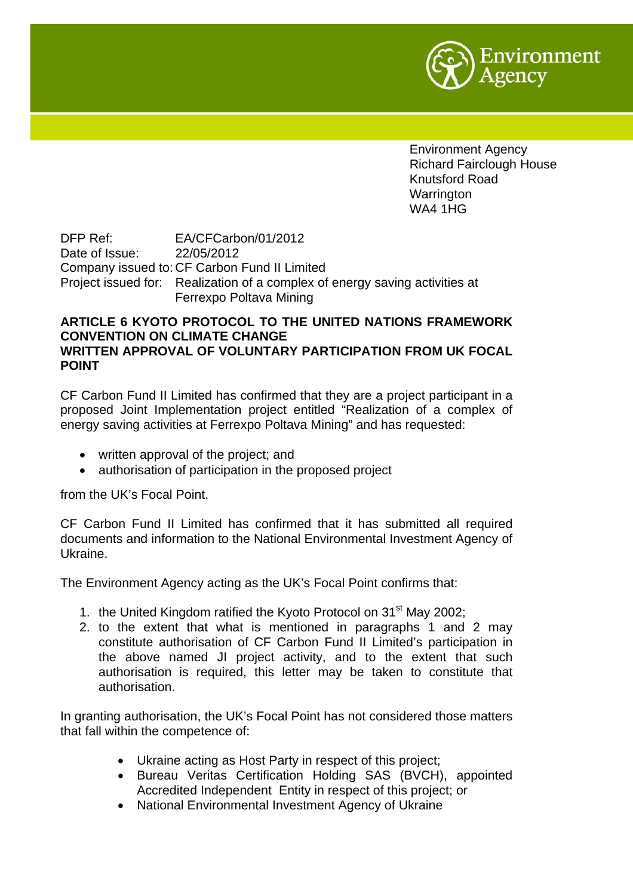

Environment Agency Richard Fairclough House Knutsford Road Warrington WA4 1HG

DFP Ref: EA/CFCarbon/01/2012 Date of Issue: 22/05/2012 Company issued to: CF Carbon Fund II Limited Project issued for: Realization of a complex of energy saving activities at Ferrexpo Poltava Mining

## **ARTICLE 6 KYOTO PROTOCOL TO THE UNITED NATIONS FRAMEWORK CONVENTION ON CLIMATE CHANGE WRITTEN APPROVAL OF VOLUNTARY PARTICIPATION FROM UK FOCAL POINT**

CF Carbon Fund II Limited has confirmed that they are a project participant in a proposed Joint Implementation project entitled "Realization of a complex of energy saving activities at Ferrexpo Poltava Mining" and has requested:

- written approval of the project; and
- authorisation of participation in the proposed project

from the UK's Focal Point.

CF Carbon Fund II Limited has confirmed that it has submitted all required documents and information to the National Environmental Investment Agency of Ukraine.

The Environment Agency acting as the UK's Focal Point confirms that:

- 1. the United Kingdom ratified the Kyoto Protocol on 31<sup>st</sup> May 2002;
- 2. to the extent that what is mentioned in paragraphs 1 and 2 may constitute authorisation of CF Carbon Fund II Limited's participation in the above named JI project activity, and to the extent that such authorisation is required, this letter may be taken to constitute that authorisation.

In granting authorisation, the UK's Focal Point has not considered those matters that fall within the competence of:

- Ukraine acting as Host Party in respect of this project;
- Bureau Veritas Certification Holding SAS (BVCH), appointed Accredited Independent Entity in respect of this project; or
- National Environmental Investment Agency of Ukraine